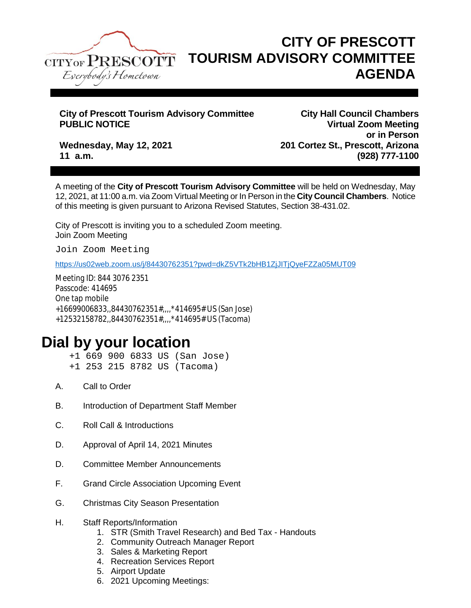

## **CITY OF PRESCOTT TOURISM ADVISORY COMMITTEE AGENDA**

## **City of Prescott Tourism Advisory Committee City Hall Council Chambers**

**Virtual Zoom Meeting or in Person Wednesday, May 12, 2021 201 Cortez St., Prescott, Arizona 11 a.m. (928) 777-1100**

A meeting of the **City of Prescott Tourism Advisory Committee** will be held on Wednesday, May 12, 2021, at 11:00 a.m. via Zoom Virtual Meeting or In Person in the **City Council Chambers**. Notice of this meeting is given pursuant to Arizona Revised Statutes, Section 38-431.02.

City of Prescott is inviting you to a scheduled Zoom meeting. Join Zoom Meeting

Join Zoom Meeting

<https://us02web.zoom.us/j/84430762351?pwd=dkZ5VTk2bHB1ZjJITjQyeFZZa05MUT09>

Meeting ID: 844 3076 2351 Passcode: 414695 One tap mobile +16699006833,,84430762351#,,,,\*414695# US (San Jose) +12532158782,,84430762351#,,,,\*414695# US (Tacoma)

## **Dial by your location**

+1 669 900 6833 US (San Jose) +1 253 215 8782 US (Tacoma)

- A. Call to Order
- B. Introduction of Department Staff Member
- C. Roll Call & Introductions
- D. Approval of April 14, 2021 Minutes
- D. Committee Member Announcements
- F. Grand Circle Association Upcoming Event
- G. Christmas City Season Presentation
- H. Staff Reports/Information
	- 1. STR (Smith Travel Research) and Bed Tax Handouts
	- 2. Community Outreach Manager Report
	- 3. Sales & Marketing Report
	- 4. Recreation Services Report
	- 5. Airport Update
	- 6. 2021 Upcoming Meetings: